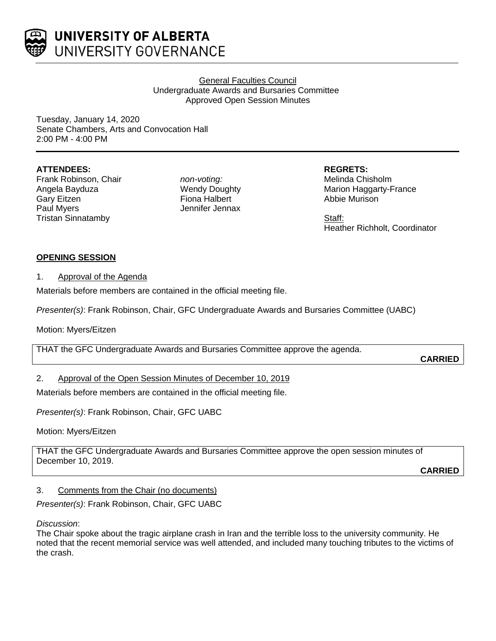

General Faculties Council Undergraduate Awards and Bursaries Committee Approved Open Session Minutes

Tuesday, January 14, 2020 Senate Chambers, Arts and Convocation Hall 2:00 PM - 4:00 PM

## **ATTENDEES:**

Frank Robinson, Chair Angela Bayduza Gary Eitzen Paul Myers Tristan Sinnatamby

*non-voting:* Wendy Doughty Fiona Halbert Jennifer Jennax **REGRETS:** Melinda Chisholm Marion Haggarty-France Abbie Murison

Staff: Heather Richholt, Coordinator

# **OPENING SESSION**

#### 1. Approval of the Agenda

Materials before members are contained in the official meeting file.

*Presenter(s)*: Frank Robinson, Chair, GFC Undergraduate Awards and Bursaries Committee (UABC)

Motion: Myers/Eitzen

THAT the GFC Undergraduate Awards and Bursaries Committee approve the agenda.

**CARRIED**

## 2. Approval of the Open Session Minutes of December 10, 2019

Materials before members are contained in the official meeting file.

*Presenter(s)*: Frank Robinson, Chair, GFC UABC

Motion: Myers/Eitzen

THAT the GFC Undergraduate Awards and Bursaries Committee approve the open session minutes of December 10, 2019.

**CARRIED**

## 3. Comments from the Chair (no documents)

*Presenter(s)*: Frank Robinson, Chair, GFC UABC

*Discussion*:

The Chair spoke about the tragic airplane crash in Iran and the terrible loss to the university community. He noted that the recent memorial service was well attended, and included many touching tributes to the victims of the crash.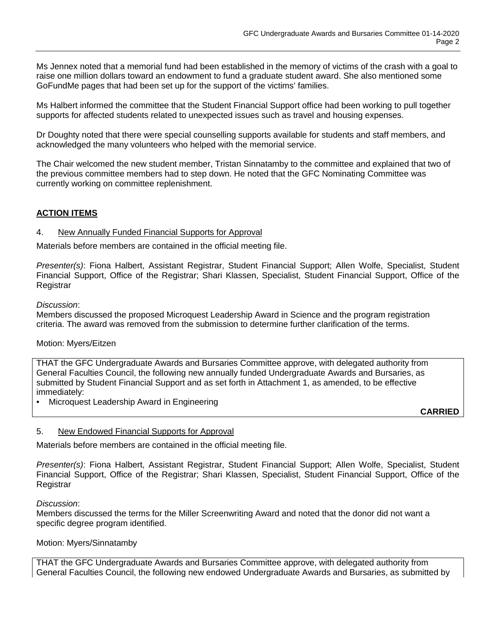Ms Jennex noted that a memorial fund had been established in the memory of victims of the crash with a goal to raise one million dollars toward an endowment to fund a graduate student award. She also mentioned some GoFundMe pages that had been set up for the support of the victims' families.

Ms Halbert informed the committee that the Student Financial Support office had been working to pull together supports for affected students related to unexpected issues such as travel and housing expenses.

Dr Doughty noted that there were special counselling supports available for students and staff members, and acknowledged the many volunteers who helped with the memorial service.

The Chair welcomed the new student member, Tristan Sinnatamby to the committee and explained that two of the previous committee members had to step down. He noted that the GFC Nominating Committee was currently working on committee replenishment.

# **ACTION ITEMS**

#### 4. New Annually Funded Financial Supports for Approval

Materials before members are contained in the official meeting file.

*Presenter(s)*: Fiona Halbert, Assistant Registrar, Student Financial Support; Allen Wolfe, Specialist, Student Financial Support, Office of the Registrar; Shari Klassen, Specialist, Student Financial Support, Office of the Registrar

#### *Discussion*:

Members discussed the proposed Microquest Leadership Award in Science and the program registration criteria. The award was removed from the submission to determine further clarification of the terms.

## Motion: Myers/Eitzen

THAT the GFC Undergraduate Awards and Bursaries Committee approve, with delegated authority from General Faculties Council, the following new annually funded Undergraduate Awards and Bursaries, as submitted by Student Financial Support and as set forth in Attachment 1, as amended, to be effective immediately:

• Microquest Leadership Award in Engineering

**CARRIED**

## 5. New Endowed Financial Supports for Approval

Materials before members are contained in the official meeting file.

*Presenter(s)*: Fiona Halbert, Assistant Registrar, Student Financial Support; Allen Wolfe, Specialist, Student Financial Support, Office of the Registrar; Shari Klassen, Specialist, Student Financial Support, Office of the Registrar

#### *Discussion*:

Members discussed the terms for the Miller Screenwriting Award and noted that the donor did not want a specific degree program identified.

#### Motion: Myers/Sinnatamby

THAT the GFC Undergraduate Awards and Bursaries Committee approve, with delegated authority from General Faculties Council, the following new endowed Undergraduate Awards and Bursaries, as submitted by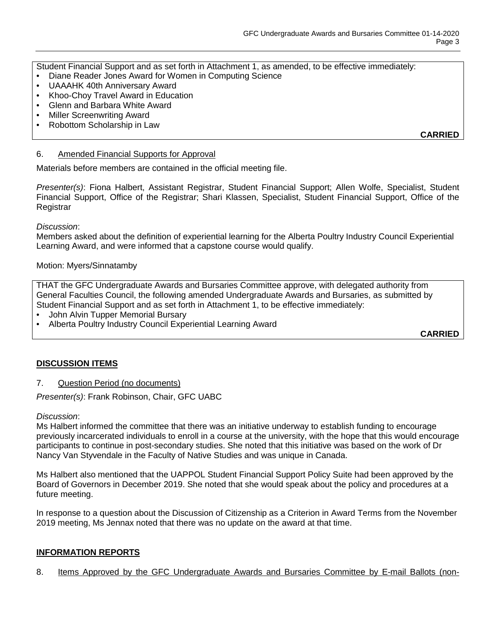Student Financial Support and as set forth in Attachment 1, as amended, to be effective immediately:

- Diane Reader Jones Award for Women in Computing Science
- UAAAHK 40th Anniversary Award
- Khoo-Choy Travel Award in Education
- Glenn and Barbara White Award
- Miller Screenwriting Award
- Robottom Scholarship in Law

**CARRIED**

## 6. Amended Financial Supports for Approval

Materials before members are contained in the official meeting file.

*Presenter(s)*: Fiona Halbert, Assistant Registrar, Student Financial Support; Allen Wolfe, Specialist, Student Financial Support, Office of the Registrar; Shari Klassen, Specialist, Student Financial Support, Office of the **Registrar** 

## *Discussion*:

Members asked about the definition of experiential learning for the Alberta Poultry Industry Council Experiential Learning Award, and were informed that a capstone course would qualify.

## Motion: Myers/Sinnatamby

THAT the GFC Undergraduate Awards and Bursaries Committee approve, with delegated authority from General Faculties Council, the following amended Undergraduate Awards and Bursaries, as submitted by Student Financial Support and as set forth in Attachment 1, to be effective immediately:

- John Alvin Tupper Memorial Bursary
- Alberta Poultry Industry Council Experiential Learning Award

**CARRIED**

# **DISCUSSION ITEMS**

7. Question Period (no documents)

*Presenter(s)*: Frank Robinson, Chair, GFC UABC

## *Discussion*:

Ms Halbert informed the committee that there was an initiative underway to establish funding to encourage previously incarcerated individuals to enroll in a course at the university, with the hope that this would encourage participants to continue in post-secondary studies. She noted that this initiative was based on the work of Dr Nancy Van Styvendale in the Faculty of Native Studies and was unique in Canada.

Ms Halbert also mentioned that the UAPPOL Student Financial Support Policy Suite had been approved by the Board of Governors in December 2019. She noted that she would speak about the policy and procedures at a future meeting.

In response to a question about the Discussion of Citizenship as a Criterion in Award Terms from the November 2019 meeting, Ms Jennax noted that there was no update on the award at that time.

## **INFORMATION REPORTS**

8. Items Approved by the GFC Undergraduate Awards and Bursaries Committee by E-mail Ballots (non-